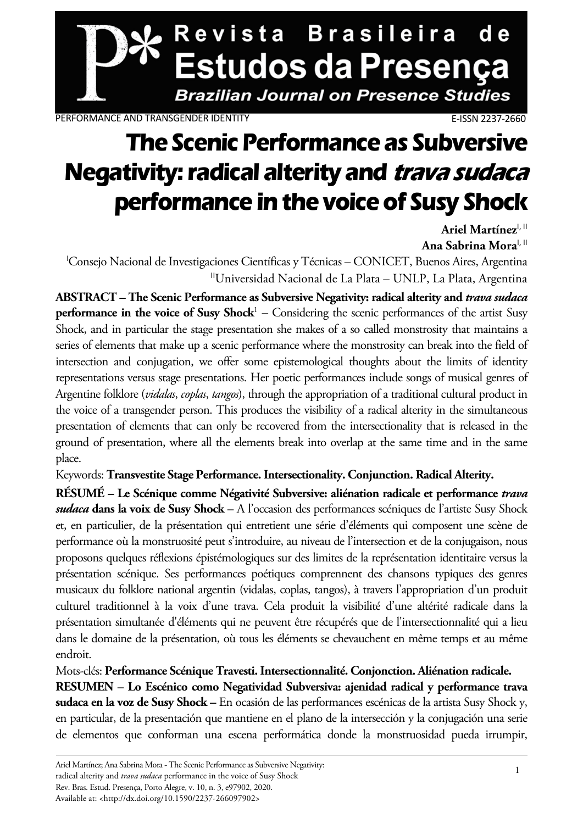

PERFORMANCE AND TRANSGENDER IDENTITY **E-ISSN 2237-2660** 

# **The Scenic Performance as Subversive Negativity: radical alterity and trava sudaca performance in the voice of Susy Shock**

Ariel Martínez<sup>I, II</sup> **Ana Sabrina Mora**I, II

<sup>I</sup>Consejo Nacional de Investigaciones Científicas y Técnicas - CONICET, Buenos Aires, Argentina IIUniversidad Nacional de La Plata – UNLP, La Plata, Argentina

**ABSTRACT – The Scenic Performance as Subversive Negativity: radical alterity and** *trava sudaca* **performance in the voice of Susy Shock**<sup>1</sup> – Considering the scenic performances of the artist Susy Shock, and in particular the stage presentation she makes of a so called monstrosity that maintains a series of elements that make up a scenic performance where the monstrosity can break into the field of intersection and conjugation, we offer some epistemological thoughts about the limits of identity representations versus stage presentations. Her poetic performances include songs of musical genres of Argentine folklore (*vidalas*, *coplas*, *tangos*), through the appropriation of a traditional cultural product in the voice of a transgender person. This produces the visibility of a radical alterity in the simultaneous presentation of elements that can only be recovered from the intersectionality that is released in the ground of presentation, where all the elements break into overlap at the same time and in the same place.

Keywords: **Transvestite Stage Performance. Intersectionality. Conjunction. Radical Alterity.** 

**RÉSUMÉ – Le Scénique comme Négativité Subversive: aliénation radicale et performance** *trava sudaca* **dans la voix de Susy Shock –** A l'occasion des performances scéniques de l'artiste Susy Shock et, en particulier, de la présentation qui entretient une série d'éléments qui composent une scène de performance où la monstruosité peut s'introduire, au niveau de l'intersection et de la conjugaison, nous proposons quelques réflexions épistémologiques sur des limites de la représentation identitaire versus la présentation scénique. Ses performances poétiques comprennent des chansons typiques des genres musicaux du folklore national argentin (vidalas, coplas, tangos), à travers l'appropriation d'un produit culturel traditionnel à la voix d'une trava. Cela produit la visibilité d'une altérité radicale dans la présentation simultanée d'éléments qui ne peuvent être récupérés que de l'intersectionnalité qui a lieu dans le domaine de la présentation, où tous les éléments se chevauchent en même temps et au même endroit.

Mots-clés: **Performance Scénique Travesti. Intersectionnalité. Conjonction. Aliénation radicale. RESUMEN – Lo Escénico como Negatividad Subversiva: ajenidad radical y performance trava sudaca en la voz de Susy Shock –** En ocasión de las performances escénicas de la artista Susy Shock y, en particular, de la presentación que mantiene en el plano de la intersección y la conjugación una serie de elementos que conforman una escena performática donde la monstruosidad pueda irrumpir,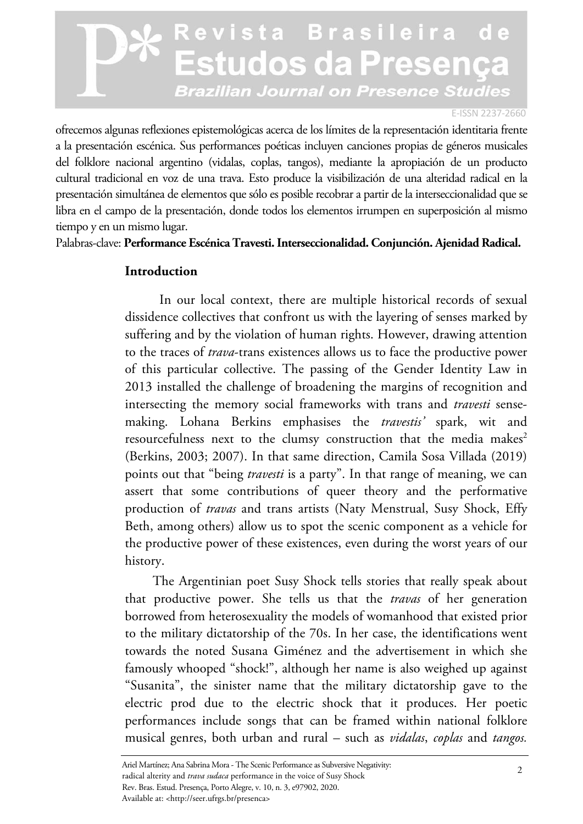#### E-ISSN 2237-2660

ofrecemos algunas reflexiones epistemológicas acerca de los límites de la representación identitaria frente a la presentación escénica. Sus performances poéticas incluyen canciones propias de géneros musicales del folklore nacional argentino (vidalas, coplas, tangos), mediante la apropiación de un producto cultural tradicional en voz de una trava. Esto produce la visibilización de una alteridad radical en la presentación simultánea de elementos que sólo es posible recobrar a partir de la interseccionalidad que se libra en el campo de la presentación, donde todos los elementos irrumpen en superposición al mismo tiempo y en un mismo lugar.

Palabras-clave: **Performance Escénica Travesti. Interseccionalidad. Conjunción. Ajenidad Radical.** 

#### **Introduction**

 In our local context, there are multiple historical records of sexual dissidence collectives that confront us with the layering of senses marked by suffering and by the violation of human rights. However, drawing attention to the traces of *trava*-trans existences allows us to face the productive power of this particular collective. The passing of the Gender Identity Law in 2013 installed the challenge of broadening the margins of recognition and intersecting the memory social frameworks with trans and *travesti* sensemaking. Lohana Berkins emphasises the *travestis'* spark, wit and resourcefulness next to the clumsy construction that the media makes<sup>2</sup> (Berkins, 2003; 2007). In that same direction, Camila Sosa Villada (2019) points out that "being *travesti* is a party". In that range of meaning, we can assert that some contributions of queer theory and the performative production of *travas* and trans artists (Naty Menstrual, Susy Shock, Effy Beth, among others) allow us to spot the scenic component as a vehicle for the productive power of these existences, even during the worst years of our history.

The Argentinian poet Susy Shock tells stories that really speak about that productive power. She tells us that the *travas* of her generation borrowed from heterosexuality the models of womanhood that existed prior to the military dictatorship of the 70s. In her case, the identifications went towards the noted Susana Giménez and the advertisement in which she famously whooped "shock!", although her name is also weighed up against "Susanita", the sinister name that the military dictatorship gave to the electric prod due to the electric shock that it produces. Her poetic performances include songs that can be framed within national folklore musical genres, both urban and rural – such as *vidalas*, *coplas* and *tangos.*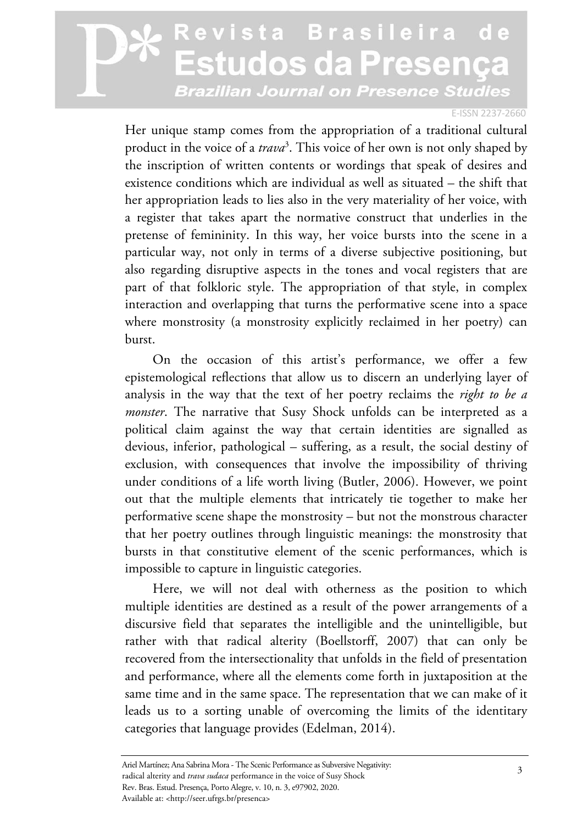#### E-ISSN 2237-2660

Her unique stamp comes from the appropriation of a traditional cultural product in the voice of a *trava*<sup>3</sup> . This voice of her own is not only shaped by the inscription of written contents or wordings that speak of desires and existence conditions which are individual as well as situated – the shift that her appropriation leads to lies also in the very materiality of her voice, with a register that takes apart the normative construct that underlies in the pretense of femininity. In this way, her voice bursts into the scene in a particular way, not only in terms of a diverse subjective positioning, but also regarding disruptive aspects in the tones and vocal registers that are part of that folkloric style. The appropriation of that style, in complex interaction and overlapping that turns the performative scene into a space where monstrosity (a monstrosity explicitly reclaimed in her poetry) can burst.

On the occasion of this artist's performance, we offer a few epistemological reflections that allow us to discern an underlying layer of analysis in the way that the text of her poetry reclaims the *right to be a monster*. The narrative that Susy Shock unfolds can be interpreted as a political claim against the way that certain identities are signalled as devious, inferior, pathological – suffering, as a result, the social destiny of exclusion, with consequences that involve the impossibility of thriving under conditions of a life worth living (Butler, 2006). However, we point out that the multiple elements that intricately tie together to make her performative scene shape the monstrosity – but not the monstrous character that her poetry outlines through linguistic meanings: the monstrosity that bursts in that constitutive element of the scenic performances, which is impossible to capture in linguistic categories.

Here, we will not deal with otherness as the position to which multiple identities are destined as a result of the power arrangements of a discursive field that separates the intelligible and the unintelligible, but rather with that radical alterity (Boellstorff, 2007) that can only be recovered from the intersectionality that unfolds in the field of presentation and performance, where all the elements come forth in juxtaposition at the same time and in the same space. The representation that we can make of it leads us to a sorting unable of overcoming the limits of the identitary categories that language provides (Edelman, 2014).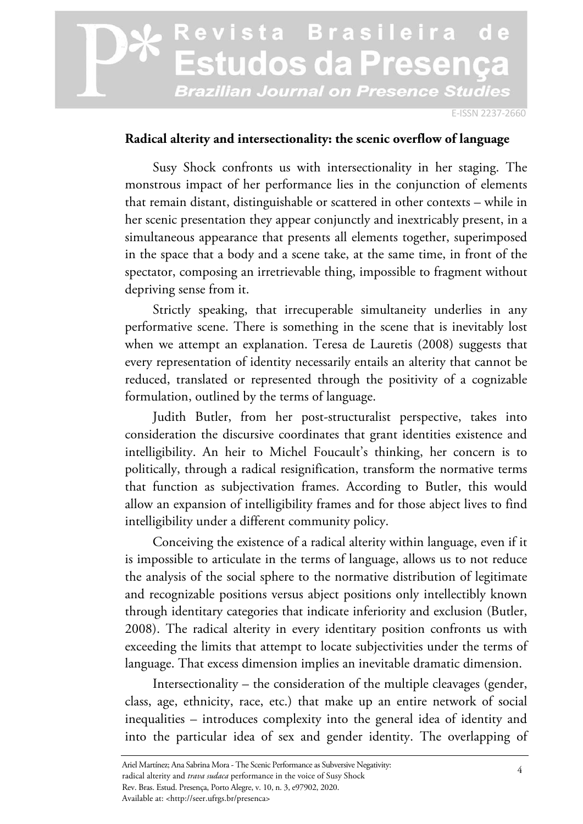E-ISSN 2237-2660

#### **Radical alterity and intersectionality: the scenic overflow of language**

Susy Shock confronts us with intersectionality in her staging. The monstrous impact of her performance lies in the conjunction of elements that remain distant, distinguishable or scattered in other contexts – while in her scenic presentation they appear conjunctly and inextricably present, in a simultaneous appearance that presents all elements together, superimposed in the space that a body and a scene take, at the same time, in front of the spectator, composing an irretrievable thing, impossible to fragment without depriving sense from it.

Strictly speaking, that irrecuperable simultaneity underlies in any performative scene. There is something in the scene that is inevitably lost when we attempt an explanation. Teresa de Lauretis (2008) suggests that every representation of identity necessarily entails an alterity that cannot be reduced, translated or represented through the positivity of a cognizable formulation, outlined by the terms of language.

Judith Butler, from her post-structuralist perspective, takes into consideration the discursive coordinates that grant identities existence and intelligibility. An heir to Michel Foucault's thinking, her concern is to politically, through a radical resignification, transform the normative terms that function as subjectivation frames. According to Butler, this would allow an expansion of intelligibility frames and for those abject lives to find intelligibility under a different community policy.

Conceiving the existence of a radical alterity within language, even if it is impossible to articulate in the terms of language, allows us to not reduce the analysis of the social sphere to the normative distribution of legitimate and recognizable positions versus abject positions only intellectibly known through identitary categories that indicate inferiority and exclusion (Butler, 2008). The radical alterity in every identitary position confronts us with exceeding the limits that attempt to locate subjectivities under the terms of language. That excess dimension implies an inevitable dramatic dimension.

Intersectionality – the consideration of the multiple cleavages (gender, class, age, ethnicity, race, etc.) that make up an entire network of social inequalities – introduces complexity into the general idea of identity and into the particular idea of sex and gender identity. The overlapping of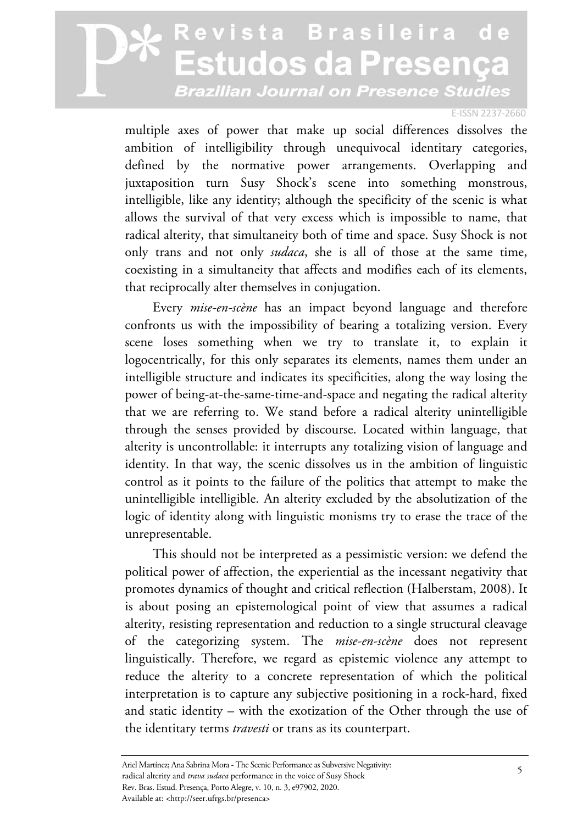#### E-ISSN 2237-2660

multiple axes of power that make up social differences dissolves the ambition of intelligibility through unequivocal identitary categories, defined by the normative power arrangements. Overlapping and juxtaposition turn Susy Shock's scene into something monstrous, intelligible, like any identity; although the specificity of the scenic is what allows the survival of that very excess which is impossible to name, that radical alterity, that simultaneity both of time and space. Susy Shock is not only trans and not only *sudaca*, she is all of those at the same time, coexisting in a simultaneity that affects and modifies each of its elements, that reciprocally alter themselves in conjugation.

Every *mise-en-scène* has an impact beyond language and therefore confronts us with the impossibility of bearing a totalizing version. Every scene loses something when we try to translate it, to explain it logocentrically, for this only separates its elements, names them under an intelligible structure and indicates its specificities, along the way losing the power of being-at-the-same-time-and-space and negating the radical alterity that we are referring to. We stand before a radical alterity unintelligible through the senses provided by discourse. Located within language, that alterity is uncontrollable: it interrupts any totalizing vision of language and identity. In that way, the scenic dissolves us in the ambition of linguistic control as it points to the failure of the politics that attempt to make the unintelligible intelligible. An alterity excluded by the absolutization of the logic of identity along with linguistic monisms try to erase the trace of the unrepresentable.

This should not be interpreted as a pessimistic version: we defend the political power of affection, the experiential as the incessant negativity that promotes dynamics of thought and critical reflection (Halberstam, 2008). It is about posing an epistemological point of view that assumes a radical alterity, resisting representation and reduction to a single structural cleavage of the categorizing system. The *mise-en-scène* does not represent linguistically. Therefore, we regard as epistemic violence any attempt to reduce the alterity to a concrete representation of which the political interpretation is to capture any subjective positioning in a rock-hard, fixed and static identity – with the exotization of the Other through the use of the identitary terms *travesti* or trans as its counterpart.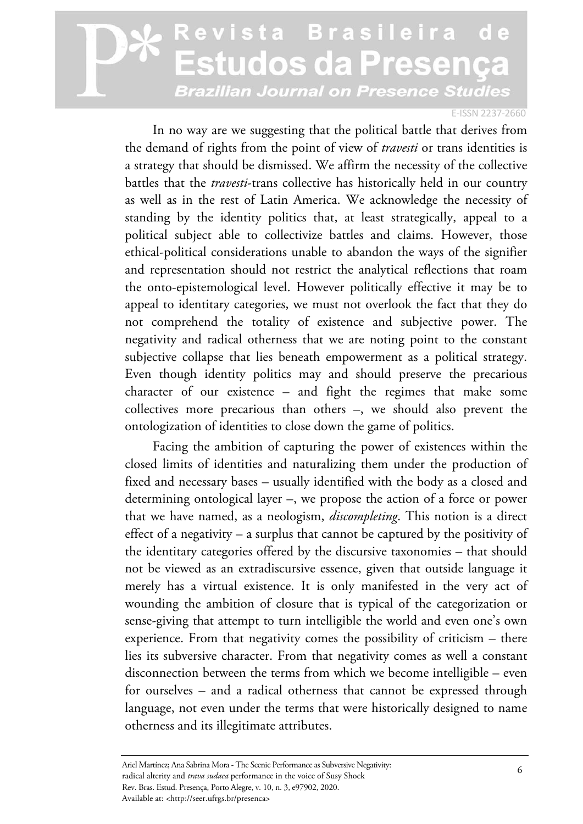#### E-ISSN 2237-2660

In no way are we suggesting that the political battle that derives from the demand of rights from the point of view of *travesti* or trans identities is a strategy that should be dismissed. We affirm the necessity of the collective battles that the *travesti*-trans collective has historically held in our country as well as in the rest of Latin America. We acknowledge the necessity of standing by the identity politics that, at least strategically, appeal to a political subject able to collectivize battles and claims. However, those ethical-political considerations unable to abandon the ways of the signifier and representation should not restrict the analytical reflections that roam the onto-epistemological level. However politically effective it may be to appeal to identitary categories, we must not overlook the fact that they do not comprehend the totality of existence and subjective power. The negativity and radical otherness that we are noting point to the constant subjective collapse that lies beneath empowerment as a political strategy. Even though identity politics may and should preserve the precarious character of our existence – and fight the regimes that make some collectives more precarious than others –, we should also prevent the ontologization of identities to close down the game of politics.

Facing the ambition of capturing the power of existences within the closed limits of identities and naturalizing them under the production of fixed and necessary bases – usually identified with the body as a closed and determining ontological layer –, we propose the action of a force or power that we have named, as a neologism, *discompleting*. This notion is a direct effect of a negativity – a surplus that cannot be captured by the positivity of the identitary categories offered by the discursive taxonomies – that should not be viewed as an extradiscursive essence, given that outside language it merely has a virtual existence. It is only manifested in the very act of wounding the ambition of closure that is typical of the categorization or sense-giving that attempt to turn intelligible the world and even one's own experience. From that negativity comes the possibility of criticism – there lies its subversive character. From that negativity comes as well a constant disconnection between the terms from which we become intelligible – even for ourselves – and a radical otherness that cannot be expressed through language, not even under the terms that were historically designed to name otherness and its illegitimate attributes.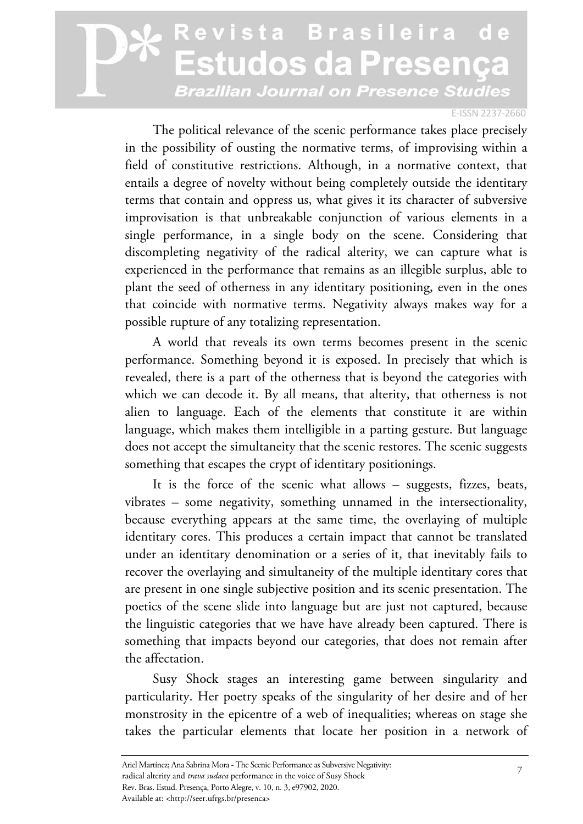#### E-ISSN 2237-2660

The political relevance of the scenic performance takes place precisely in the possibility of ousting the normative terms, of improvising within a field of constitutive restrictions. Although, in a normative context, that entails a degree of novelty without being completely outside the identitary terms that contain and oppress us, what gives it its character of subversive improvisation is that unbreakable conjunction of various elements in a single performance, in a single body on the scene. Considering that discompleting negativity of the radical alterity, we can capture what is experienced in the performance that remains as an illegible surplus, able to plant the seed of otherness in any identitary positioning, even in the ones that coincide with normative terms. Negativity always makes way for a possible rupture of any totalizing representation.

A world that reveals its own terms becomes present in the scenic performance. Something beyond it is exposed. In precisely that which is revealed, there is a part of the otherness that is beyond the categories with which we can decode it. By all means, that alterity, that otherness is not alien to language. Each of the elements that constitute it are within language, which makes them intelligible in a parting gesture. But language does not accept the simultaneity that the scenic restores. The scenic suggests something that escapes the crypt of identitary positionings.

It is the force of the scenic what allows – suggests, fizzes, beats, vibrates – some negativity, something unnamed in the intersectionality, because everything appears at the same time, the overlaying of multiple identitary cores. This produces a certain impact that cannot be translated under an identitary denomination or a series of it, that inevitably fails to recover the overlaying and simultaneity of the multiple identitary cores that are present in one single subjective position and its scenic presentation. The poetics of the scene slide into language but are just not captured, because the linguistic categories that we have have already been captured. There is something that impacts beyond our categories, that does not remain after the affectation.

Susy Shock stages an interesting game between singularity and particularity. Her poetry speaks of the singularity of her desire and of her monstrosity in the epicentre of a web of inequalities; whereas on stage she takes the particular elements that locate her position in a network of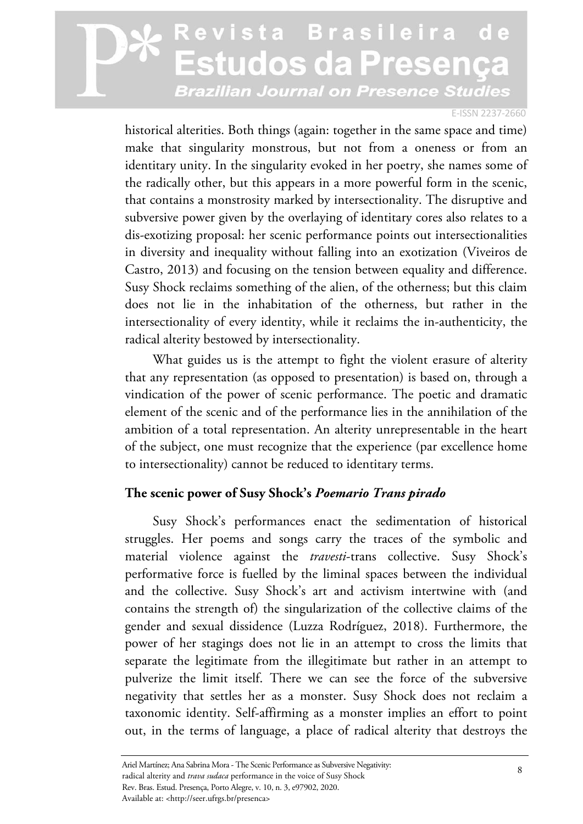#### E-ISSN 2237-2660

historical alterities. Both things (again: together in the same space and time) make that singularity monstrous, but not from a oneness or from an identitary unity. In the singularity evoked in her poetry, she names some of the radically other, but this appears in a more powerful form in the scenic, that contains a monstrosity marked by intersectionality. The disruptive and subversive power given by the overlaying of identitary cores also relates to a dis-exotizing proposal: her scenic performance points out intersectionalities in diversity and inequality without falling into an exotization (Viveiros de Castro, 2013) and focusing on the tension between equality and difference. Susy Shock reclaims something of the alien, of the otherness; but this claim does not lie in the inhabitation of the otherness, but rather in the intersectionality of every identity, while it reclaims the in-authenticity, the radical alterity bestowed by intersectionality.

What guides us is the attempt to fight the violent erasure of alterity that any representation (as opposed to presentation) is based on, through a vindication of the power of scenic performance. The poetic and dramatic element of the scenic and of the performance lies in the annihilation of the ambition of a total representation. An alterity unrepresentable in the heart of the subject, one must recognize that the experience (par excellence home to intersectionality) cannot be reduced to identitary terms.

#### **The scenic power of Susy Shock's** *Poemario Trans pirado*

Susy Shock's performances enact the sedimentation of historical struggles. Her poems and songs carry the traces of the symbolic and material violence against the *travesti*-trans collective. Susy Shock's performative force is fuelled by the liminal spaces between the individual and the collective. Susy Shock's art and activism intertwine with (and contains the strength of) the singularization of the collective claims of the gender and sexual dissidence (Luzza Rodríguez, 2018). Furthermore, the power of her stagings does not lie in an attempt to cross the limits that separate the legitimate from the illegitimate but rather in an attempt to pulverize the limit itself. There we can see the force of the subversive negativity that settles her as a monster. Susy Shock does not reclaim a taxonomic identity. Self-affirming as a monster implies an effort to point out, in the terms of language, a place of radical alterity that destroys the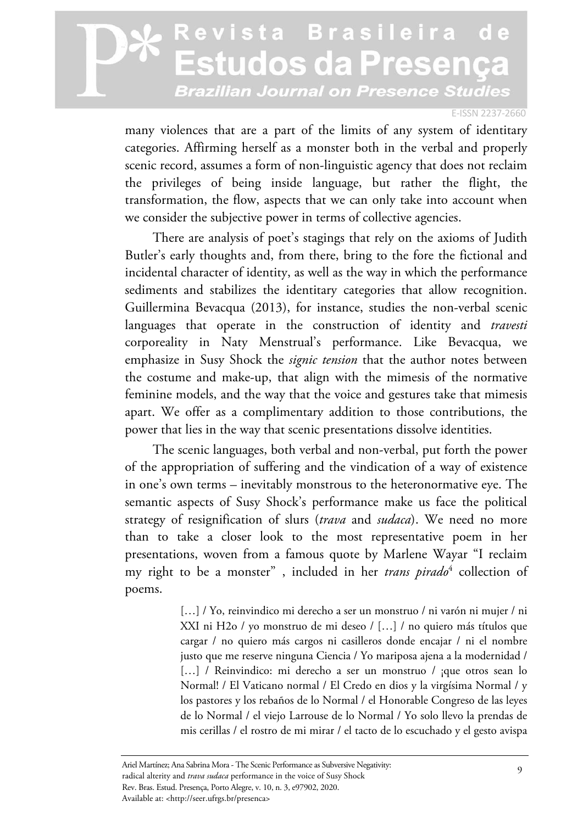#### E-ISSN 2237-2660

many violences that are a part of the limits of any system of identitary categories. Affirming herself as a monster both in the verbal and properly scenic record, assumes a form of non-linguistic agency that does not reclaim the privileges of being inside language, but rather the flight, the transformation, the flow, aspects that we can only take into account when we consider the subjective power in terms of collective agencies.

There are analysis of poet's stagings that rely on the axioms of Judith Butler's early thoughts and, from there, bring to the fore the fictional and incidental character of identity, as well as the way in which the performance sediments and stabilizes the identitary categories that allow recognition. Guillermina Bevacqua (2013), for instance, studies the non-verbal scenic languages that operate in the construction of identity and *travesti* corporeality in Naty Menstrual's performance. Like Bevacqua, we emphasize in Susy Shock the *signic tension* that the author notes between the costume and make-up, that align with the mimesis of the normative feminine models, and the way that the voice and gestures take that mimesis apart. We offer as a complimentary addition to those contributions, the power that lies in the way that scenic presentations dissolve identities.

The scenic languages, both verbal and non-verbal, put forth the power of the appropriation of suffering and the vindication of a way of existence in one's own terms – inevitably monstrous to the heteronormative eye. The semantic aspects of Susy Shock's performance make us face the political strategy of resignification of slurs (*trava* and *sudaca*). We need no more than to take a closer look to the most representative poem in her presentations, woven from a famous quote by Marlene Wayar "I reclaim my right to be a monster" , included in her *trans pirado*<sup>4</sup> collection of poems.

> [...] / Yo, reinvindico mi derecho a ser un monstruo / ni varón ni mujer / ni XXI ni H2o / yo monstruo de mi deseo / […] / no quiero más títulos que cargar / no quiero más cargos ni casilleros donde encajar / ni el nombre justo que me reserve ninguna Ciencia / Yo mariposa ajena a la modernidad / [...] / Reinvindico: mi derecho a ser un monstruo / ;que otros sean lo Normal! / El Vaticano normal / El Credo en dios y la virgísima Normal / y los pastores y los rebaños de lo Normal / el Honorable Congreso de las leyes de lo Normal / el viejo Larrouse de lo Normal / Yo solo llevo la prendas de mis cerillas / el rostro de mi mirar / el tacto de lo escuchado y el gesto avispa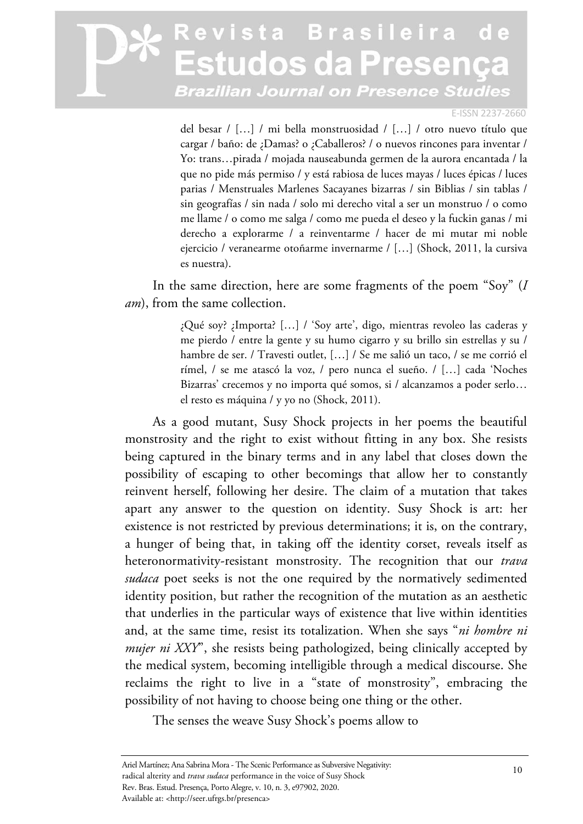#### E-ISSN 2237-2660

del besar / […] / mi bella monstruosidad / […] / otro nuevo título que cargar / baño: de ¿Damas? o ¿Caballeros? / o nuevos rincones para inventar / Yo: trans…pirada / mojada nauseabunda germen de la aurora encantada / la que no pide más permiso / y está rabiosa de luces mayas / luces épicas / luces parias / Menstruales Marlenes Sacayanes bizarras / sin Biblias / sin tablas / sin geografías / sin nada / solo mi derecho vital a ser un monstruo / o como me llame / o como me salga / como me pueda el deseo y la fuckin ganas / mi derecho a explorarme / a reinventarme / hacer de mi mutar mi noble ejercicio / veranearme otoñarme invernarme / […] (Shock, 2011, la cursiva es nuestra).

In the same direction, here are some fragments of the poem "Soy" (*I am*), from the same collection.

> ¿Qué soy? ¿Importa? […] / 'Soy arte', digo, mientras revoleo las caderas y me pierdo / entre la gente y su humo cigarro y su brillo sin estrellas y su / hambre de ser. / Travesti outlet, […] / Se me salió un taco, / se me corrió el rímel, / se me atascó la voz, / pero nunca el sueño. / […] cada 'Noches Bizarras' crecemos y no importa qué somos, si / alcanzamos a poder serlo… el resto es máquina / y yo no (Shock, 2011).

As a good mutant, Susy Shock projects in her poems the beautiful monstrosity and the right to exist without fitting in any box. She resists being captured in the binary terms and in any label that closes down the possibility of escaping to other becomings that allow her to constantly reinvent herself, following her desire. The claim of a mutation that takes apart any answer to the question on identity. Susy Shock is art: her existence is not restricted by previous determinations; it is, on the contrary, a hunger of being that, in taking off the identity corset, reveals itself as heteronormativity-resistant monstrosity. The recognition that our *trava sudaca* poet seeks is not the one required by the normatively sedimented identity position, but rather the recognition of the mutation as an aesthetic that underlies in the particular ways of existence that live within identities and, at the same time, resist its totalization. When she says "*ni hombre ni mujer ni XXY*", she resists being pathologized, being clinically accepted by the medical system, becoming intelligible through a medical discourse. She reclaims the right to live in a "state of monstrosity", embracing the possibility of not having to choose being one thing or the other.

The senses the weave Susy Shock's poems allow to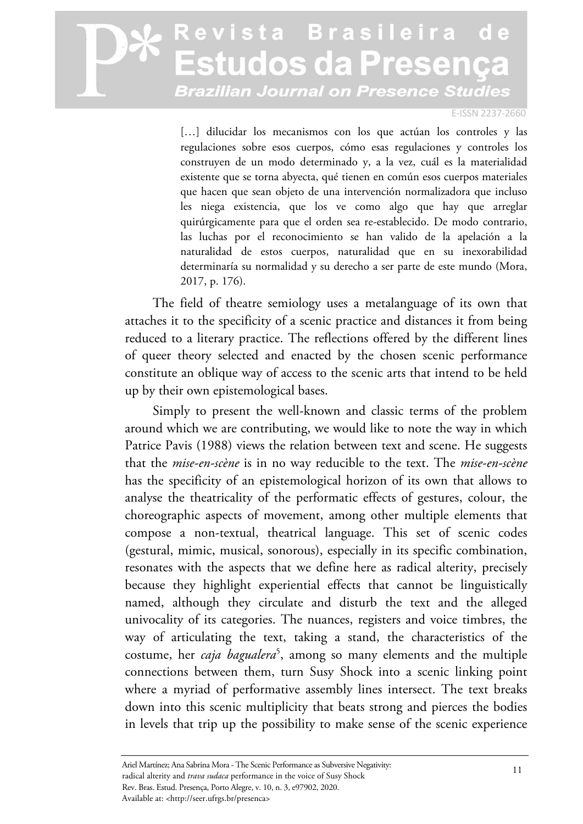#### E-ISSN 2237-2660

[...] dilucidar los mecanismos con los que actúan los controles y las regulaciones sobre esos cuerpos, cómo esas regulaciones y controles los construyen de un modo determinado y, a la vez, cuál es la materialidad existente que se torna abyecta, qué tienen en común esos cuerpos materiales que hacen que sean objeto de una intervención normalizadora que incluso les niega existencia, que los ve como algo que hay que arreglar quirúrgicamente para que el orden sea re-establecido. De modo contrario, las luchas por el reconocimiento se han valido de la apelación a la naturalidad de estos cuerpos, naturalidad que en su inexorabilidad determinaría su normalidad y su derecho a ser parte de este mundo (Mora, 2017, p. 176).

The field of theatre semiology uses a metalanguage of its own that attaches it to the specificity of a scenic practice and distances it from being reduced to a literary practice. The reflections offered by the different lines of queer theory selected and enacted by the chosen scenic performance constitute an oblique way of access to the scenic arts that intend to be held up by their own epistemological bases.

Simply to present the well-known and classic terms of the problem around which we are contributing, we would like to note the way in which Patrice Pavis (1988) views the relation between text and scene. He suggests that the *mise-en-scène* is in no way reducible to the text. The *mise-en-scène* has the specificity of an epistemological horizon of its own that allows to analyse the theatricality of the performatic effects of gestures, colour, the choreographic aspects of movement, among other multiple elements that compose a non-textual, theatrical language. This set of scenic codes (gestural, mimic, musical, sonorous), especially in its specific combination, resonates with the aspects that we define here as radical alterity, precisely because they highlight experiential effects that cannot be linguistically named, although they circulate and disturb the text and the alleged univocality of its categories. The nuances, registers and voice timbres, the way of articulating the text, taking a stand, the characteristics of the costume, her *caja bagualera*<sup>5</sup> , among so many elements and the multiple connections between them, turn Susy Shock into a scenic linking point where a myriad of performative assembly lines intersect. The text breaks down into this scenic multiplicity that beats strong and pierces the bodies in levels that trip up the possibility to make sense of the scenic experience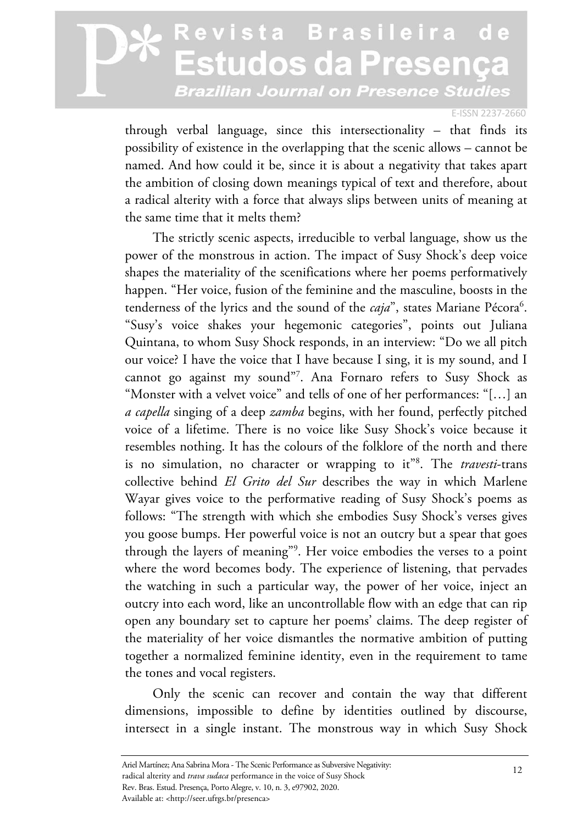#### E-ISSN 2237-2660

through verbal language, since this intersectionality – that finds its possibility of existence in the overlapping that the scenic allows – cannot be named. And how could it be, since it is about a negativity that takes apart the ambition of closing down meanings typical of text and therefore, about a radical alterity with a force that always slips between units of meaning at the same time that it melts them?

The strictly scenic aspects, irreducible to verbal language, show us the power of the monstrous in action. The impact of Susy Shock's deep voice shapes the materiality of the scenifications where her poems performatively happen. "Her voice, fusion of the feminine and the masculine, boosts in the tenderness of the lyrics and the sound of the *caja*", states Mariane Pécora<sup>6</sup>. "Susy's voice shakes your hegemonic categories", points out Juliana Quintana, to whom Susy Shock responds, in an interview: "Do we all pitch our voice? I have the voice that I have because I sing, it is my sound, and I cannot go against my sound"7 . Ana Fornaro refers to Susy Shock as "Monster with a velvet voice" and tells of one of her performances: "[…] an *a capella* singing of a deep *zamba* begins, with her found, perfectly pitched voice of a lifetime. There is no voice like Susy Shock's voice because it resembles nothing. It has the colours of the folklore of the north and there is no simulation, no character or wrapping to it"8 . The *travesti*-trans collective behind *El Grito del Sur* describes the way in which Marlene Wayar gives voice to the performative reading of Susy Shock's poems as follows: "The strength with which she embodies Susy Shock's verses gives you goose bumps. Her powerful voice is not an outcry but a spear that goes through the layers of meaning"9 . Her voice embodies the verses to a point where the word becomes body. The experience of listening, that pervades the watching in such a particular way, the power of her voice, inject an outcry into each word, like an uncontrollable flow with an edge that can rip open any boundary set to capture her poems' claims. The deep register of the materiality of her voice dismantles the normative ambition of putting together a normalized feminine identity, even in the requirement to tame the tones and vocal registers.

Only the scenic can recover and contain the way that different dimensions, impossible to define by identities outlined by discourse, intersect in a single instant. The monstrous way in which Susy Shock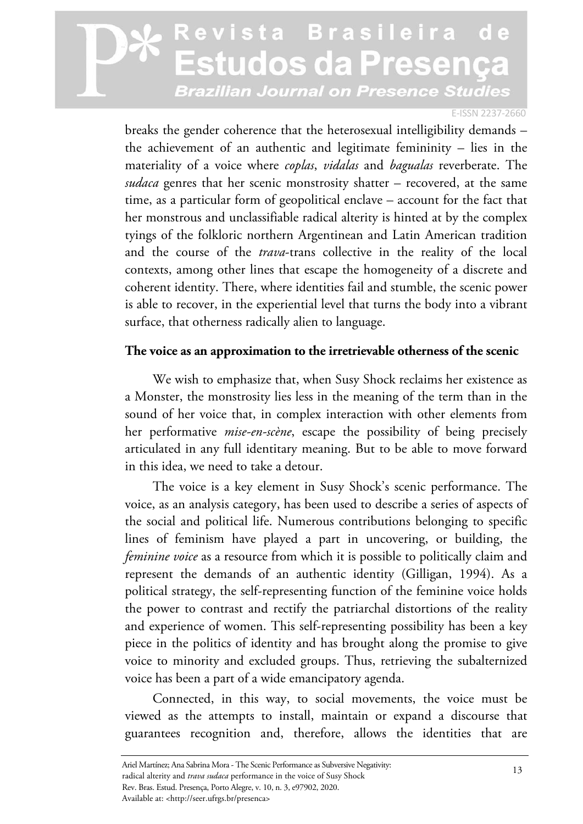#### E-ISSN 2237-2660

breaks the gender coherence that the heterosexual intelligibility demands – the achievement of an authentic and legitimate femininity – lies in the materiality of a voice where *coplas*, *vidalas* and *bagualas* reverberate. The *sudaca* genres that her scenic monstrosity shatter – recovered, at the same time, as a particular form of geopolitical enclave – account for the fact that her monstrous and unclassifiable radical alterity is hinted at by the complex tyings of the folkloric northern Argentinean and Latin American tradition and the course of the *trava*-trans collective in the reality of the local contexts, among other lines that escape the homogeneity of a discrete and coherent identity. There, where identities fail and stumble, the scenic power is able to recover, in the experiential level that turns the body into a vibrant surface, that otherness radically alien to language.

#### **The voice as an approximation to the irretrievable otherness of the scenic**

We wish to emphasize that, when Susy Shock reclaims her existence as a Monster, the monstrosity lies less in the meaning of the term than in the sound of her voice that, in complex interaction with other elements from her performative *mise-en-scène*, escape the possibility of being precisely articulated in any full identitary meaning. But to be able to move forward in this idea, we need to take a detour.

The voice is a key element in Susy Shock's scenic performance. The voice, as an analysis category, has been used to describe a series of aspects of the social and political life. Numerous contributions belonging to specific lines of feminism have played a part in uncovering, or building, the *feminine voice* as a resource from which it is possible to politically claim and represent the demands of an authentic identity (Gilligan, 1994). As a political strategy, the self-representing function of the feminine voice holds the power to contrast and rectify the patriarchal distortions of the reality and experience of women. This self-representing possibility has been a key piece in the politics of identity and has brought along the promise to give voice to minority and excluded groups. Thus, retrieving the subalternized voice has been a part of a wide emancipatory agenda.

Connected, in this way, to social movements, the voice must be viewed as the attempts to install, maintain or expand a discourse that guarantees recognition and, therefore, allows the identities that are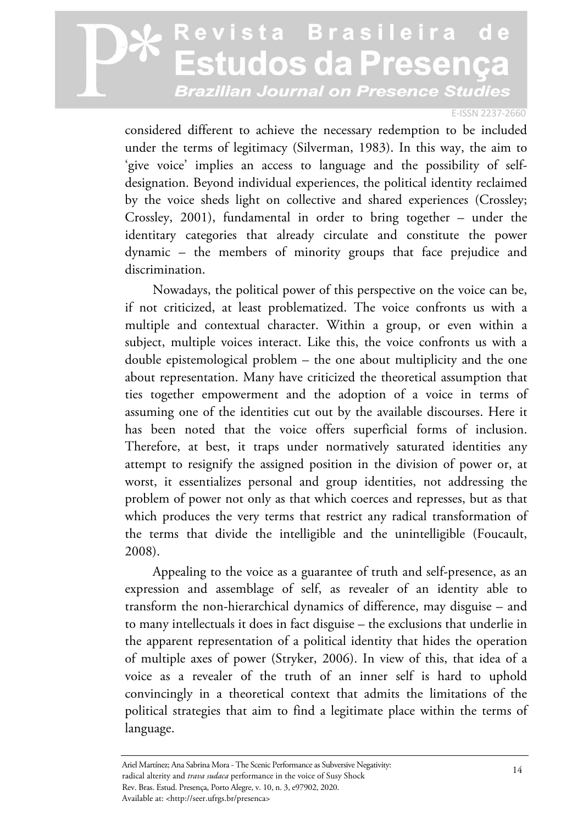#### E-ISSN 2237-2660

considered different to achieve the necessary redemption to be included under the terms of legitimacy (Silverman, 1983). In this way, the aim to 'give voice' implies an access to language and the possibility of selfdesignation. Beyond individual experiences, the political identity reclaimed by the voice sheds light on collective and shared experiences (Crossley; Crossley, 2001), fundamental in order to bring together – under the identitary categories that already circulate and constitute the power dynamic – the members of minority groups that face prejudice and discrimination.

Nowadays, the political power of this perspective on the voice can be, if not criticized, at least problematized. The voice confronts us with a multiple and contextual character. Within a group, or even within a subject, multiple voices interact. Like this, the voice confronts us with a double epistemological problem – the one about multiplicity and the one about representation. Many have criticized the theoretical assumption that ties together empowerment and the adoption of a voice in terms of assuming one of the identities cut out by the available discourses. Here it has been noted that the voice offers superficial forms of inclusion. Therefore, at best, it traps under normatively saturated identities any attempt to resignify the assigned position in the division of power or, at worst, it essentializes personal and group identities, not addressing the problem of power not only as that which coerces and represses, but as that which produces the very terms that restrict any radical transformation of the terms that divide the intelligible and the unintelligible (Foucault, 2008).

Appealing to the voice as a guarantee of truth and self-presence, as an expression and assemblage of self, as revealer of an identity able to transform the non-hierarchical dynamics of difference, may disguise – and to many intellectuals it does in fact disguise – the exclusions that underlie in the apparent representation of a political identity that hides the operation of multiple axes of power (Stryker, 2006). In view of this, that idea of a voice as a revealer of the truth of an inner self is hard to uphold convincingly in a theoretical context that admits the limitations of the political strategies that aim to find a legitimate place within the terms of language.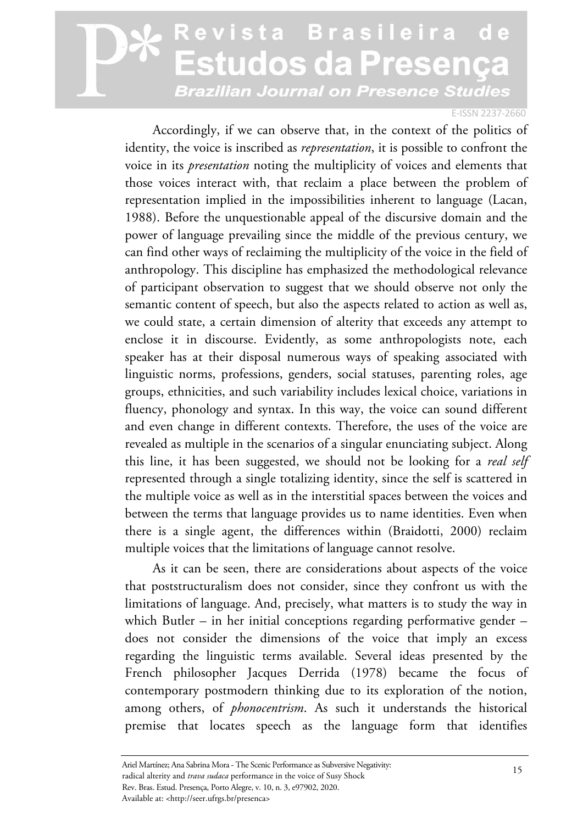#### E-ISSN 2237-2660

Accordingly, if we can observe that, in the context of the politics of identity, the voice is inscribed as *representation*, it is possible to confront the voice in its *presentation* noting the multiplicity of voices and elements that those voices interact with, that reclaim a place between the problem of representation implied in the impossibilities inherent to language (Lacan, 1988). Before the unquestionable appeal of the discursive domain and the power of language prevailing since the middle of the previous century, we can find other ways of reclaiming the multiplicity of the voice in the field of anthropology. This discipline has emphasized the methodological relevance of participant observation to suggest that we should observe not only the semantic content of speech, but also the aspects related to action as well as, we could state, a certain dimension of alterity that exceeds any attempt to enclose it in discourse. Evidently, as some anthropologists note, each speaker has at their disposal numerous ways of speaking associated with linguistic norms, professions, genders, social statuses, parenting roles, age groups, ethnicities, and such variability includes lexical choice, variations in fluency, phonology and syntax. In this way, the voice can sound different and even change in different contexts. Therefore, the uses of the voice are revealed as multiple in the scenarios of a singular enunciating subject. Along this line, it has been suggested, we should not be looking for a *real self* represented through a single totalizing identity, since the self is scattered in the multiple voice as well as in the interstitial spaces between the voices and between the terms that language provides us to name identities. Even when there is a single agent, the differences within (Braidotti, 2000) reclaim multiple voices that the limitations of language cannot resolve.

As it can be seen, there are considerations about aspects of the voice that poststructuralism does not consider, since they confront us with the limitations of language. And, precisely, what matters is to study the way in which Butler – in her initial conceptions regarding performative gender – does not consider the dimensions of the voice that imply an excess regarding the linguistic terms available. Several ideas presented by the French philosopher Jacques Derrida (1978) became the focus of contemporary postmodern thinking due to its exploration of the notion, among others, of *phonocentrism*. As such it understands the historical premise that locates speech as the language form that identifies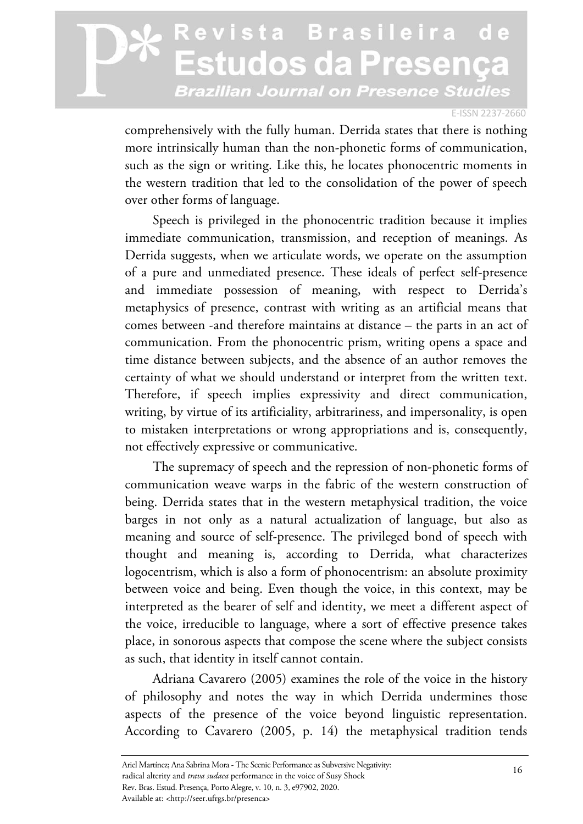#### E-ISSN 2237-2660

comprehensively with the fully human. Derrida states that there is nothing more intrinsically human than the non-phonetic forms of communication, such as the sign or writing. Like this, he locates phonocentric moments in the western tradition that led to the consolidation of the power of speech over other forms of language.

Speech is privileged in the phonocentric tradition because it implies immediate communication, transmission, and reception of meanings. As Derrida suggests, when we articulate words, we operate on the assumption of a pure and unmediated presence. These ideals of perfect self-presence and immediate possession of meaning, with respect to Derrida's metaphysics of presence, contrast with writing as an artificial means that comes between -and therefore maintains at distance – the parts in an act of communication. From the phonocentric prism, writing opens a space and time distance between subjects, and the absence of an author removes the certainty of what we should understand or interpret from the written text. Therefore, if speech implies expressivity and direct communication, writing, by virtue of its artificiality, arbitrariness, and impersonality, is open to mistaken interpretations or wrong appropriations and is, consequently, not effectively expressive or communicative.

The supremacy of speech and the repression of non-phonetic forms of communication weave warps in the fabric of the western construction of being. Derrida states that in the western metaphysical tradition, the voice barges in not only as a natural actualization of language, but also as meaning and source of self-presence. The privileged bond of speech with thought and meaning is, according to Derrida, what characterizes logocentrism, which is also a form of phonocentrism: an absolute proximity between voice and being. Even though the voice, in this context, may be interpreted as the bearer of self and identity, we meet a different aspect of the voice, irreducible to language, where a sort of effective presence takes place, in sonorous aspects that compose the scene where the subject consists as such, that identity in itself cannot contain.

Adriana Cavarero (2005) examines the role of the voice in the history of philosophy and notes the way in which Derrida undermines those aspects of the presence of the voice beyond linguistic representation. According to Cavarero (2005, p. 14) the metaphysical tradition tends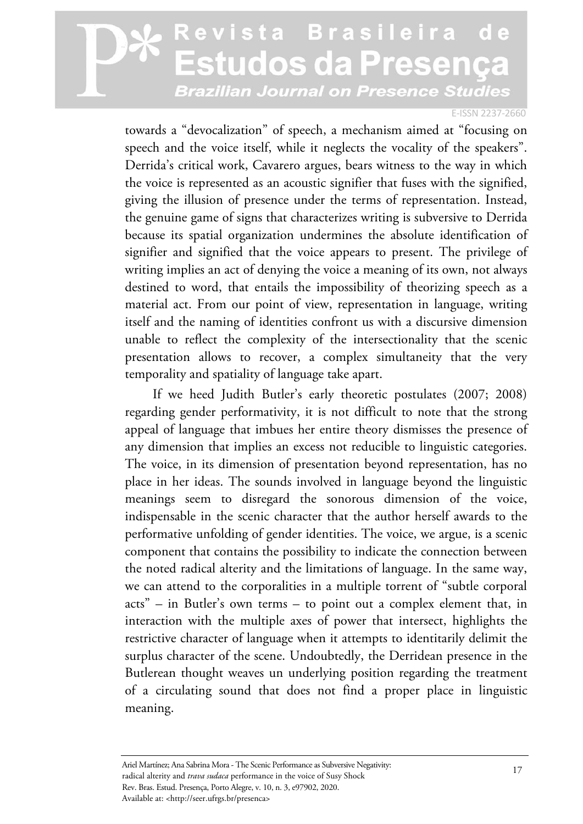#### E-ISSN 2237-2660

towards a "devocalization" of speech, a mechanism aimed at "focusing on speech and the voice itself, while it neglects the vocality of the speakers". Derrida's critical work, Cavarero argues, bears witness to the way in which the voice is represented as an acoustic signifier that fuses with the signified, giving the illusion of presence under the terms of representation. Instead, the genuine game of signs that characterizes writing is subversive to Derrida because its spatial organization undermines the absolute identification of signifier and signified that the voice appears to present. The privilege of writing implies an act of denying the voice a meaning of its own, not always destined to word, that entails the impossibility of theorizing speech as a material act. From our point of view, representation in language, writing itself and the naming of identities confront us with a discursive dimension unable to reflect the complexity of the intersectionality that the scenic presentation allows to recover, a complex simultaneity that the very temporality and spatiality of language take apart.

If we heed Judith Butler's early theoretic postulates (2007; 2008) regarding gender performativity, it is not difficult to note that the strong appeal of language that imbues her entire theory dismisses the presence of any dimension that implies an excess not reducible to linguistic categories. The voice, in its dimension of presentation beyond representation, has no place in her ideas. The sounds involved in language beyond the linguistic meanings seem to disregard the sonorous dimension of the voice, indispensable in the scenic character that the author herself awards to the performative unfolding of gender identities. The voice, we argue, is a scenic component that contains the possibility to indicate the connection between the noted radical alterity and the limitations of language. In the same way, we can attend to the corporalities in a multiple torrent of "subtle corporal acts" – in Butler's own terms – to point out a complex element that, in interaction with the multiple axes of power that intersect, highlights the restrictive character of language when it attempts to identitarily delimit the surplus character of the scene. Undoubtedly, the Derridean presence in the Butlerean thought weaves un underlying position regarding the treatment of a circulating sound that does not find a proper place in linguistic meaning.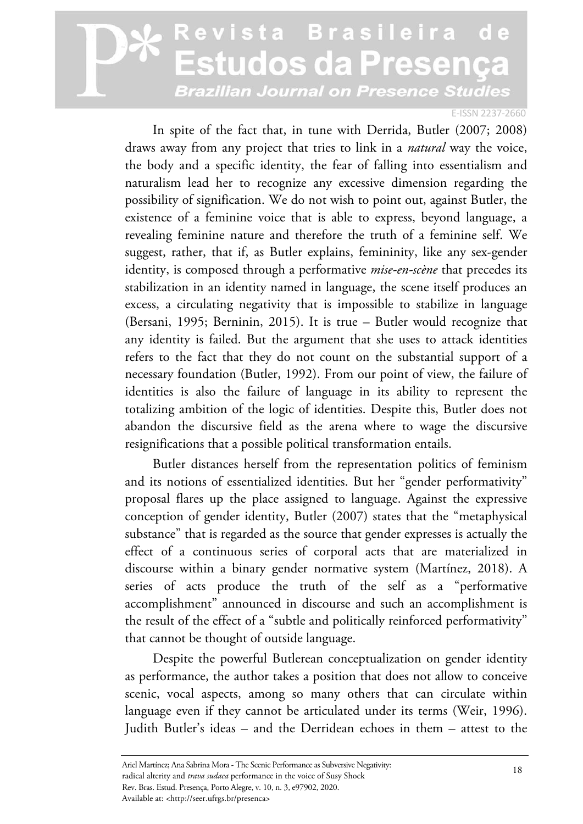#### E-ISSN 2237-2660

In spite of the fact that, in tune with Derrida, Butler (2007; 2008) draws away from any project that tries to link in a *natural* way the voice, the body and a specific identity, the fear of falling into essentialism and naturalism lead her to recognize any excessive dimension regarding the possibility of signification. We do not wish to point out, against Butler, the existence of a feminine voice that is able to express, beyond language, a revealing feminine nature and therefore the truth of a feminine self. We suggest, rather, that if, as Butler explains, femininity, like any sex-gender identity, is composed through a performative *mise-en-scène* that precedes its stabilization in an identity named in language, the scene itself produces an excess, a circulating negativity that is impossible to stabilize in language (Bersani, 1995; Berninin, 2015). It is true – Butler would recognize that any identity is failed. But the argument that she uses to attack identities refers to the fact that they do not count on the substantial support of a necessary foundation (Butler, 1992). From our point of view, the failure of identities is also the failure of language in its ability to represent the totalizing ambition of the logic of identities. Despite this, Butler does not abandon the discursive field as the arena where to wage the discursive resignifications that a possible political transformation entails.

Butler distances herself from the representation politics of feminism and its notions of essentialized identities. But her "gender performativity" proposal flares up the place assigned to language. Against the expressive conception of gender identity, Butler (2007) states that the "metaphysical substance" that is regarded as the source that gender expresses is actually the effect of a continuous series of corporal acts that are materialized in discourse within a binary gender normative system (Martínez, 2018). A series of acts produce the truth of the self as a "performative accomplishment" announced in discourse and such an accomplishment is the result of the effect of a "subtle and politically reinforced performativity" that cannot be thought of outside language.

Despite the powerful Butlerean conceptualization on gender identity as performance, the author takes a position that does not allow to conceive scenic, vocal aspects, among so many others that can circulate within language even if they cannot be articulated under its terms (Weir, 1996). Judith Butler's ideas – and the Derridean echoes in them – attest to the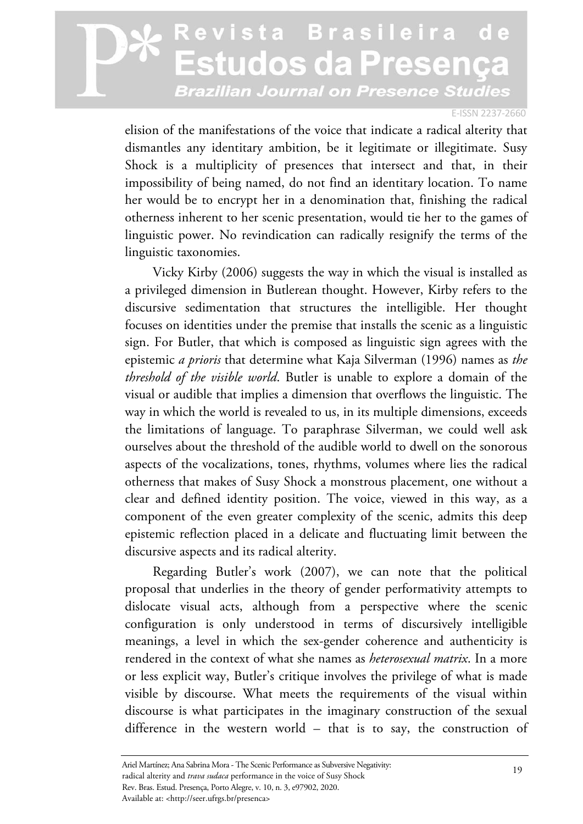#### E-ISSN 2237-2660

elision of the manifestations of the voice that indicate a radical alterity that dismantles any identitary ambition, be it legitimate or illegitimate. Susy Shock is a multiplicity of presences that intersect and that, in their impossibility of being named, do not find an identitary location. To name her would be to encrypt her in a denomination that, finishing the radical otherness inherent to her scenic presentation, would tie her to the games of linguistic power. No revindication can radically resignify the terms of the linguistic taxonomies.

Vicky Kirby (2006) suggests the way in which the visual is installed as a privileged dimension in Butlerean thought. However, Kirby refers to the discursive sedimentation that structures the intelligible. Her thought focuses on identities under the premise that installs the scenic as a linguistic sign. For Butler, that which is composed as linguistic sign agrees with the epistemic *a prioris* that determine what Kaja Silverman (1996) names as *the threshold of the visible world*. Butler is unable to explore a domain of the visual or audible that implies a dimension that overflows the linguistic. The way in which the world is revealed to us, in its multiple dimensions, exceeds the limitations of language. To paraphrase Silverman, we could well ask ourselves about the threshold of the audible world to dwell on the sonorous aspects of the vocalizations, tones, rhythms, volumes where lies the radical otherness that makes of Susy Shock a monstrous placement, one without a clear and defined identity position. The voice, viewed in this way, as a component of the even greater complexity of the scenic, admits this deep epistemic reflection placed in a delicate and fluctuating limit between the discursive aspects and its radical alterity.

Regarding Butler's work (2007), we can note that the political proposal that underlies in the theory of gender performativity attempts to dislocate visual acts, although from a perspective where the scenic configuration is only understood in terms of discursively intelligible meanings, a level in which the sex-gender coherence and authenticity is rendered in the context of what she names as *heterosexual matrix*. In a more or less explicit way, Butler's critique involves the privilege of what is made visible by discourse. What meets the requirements of the visual within discourse is what participates in the imaginary construction of the sexual difference in the western world – that is to say, the construction of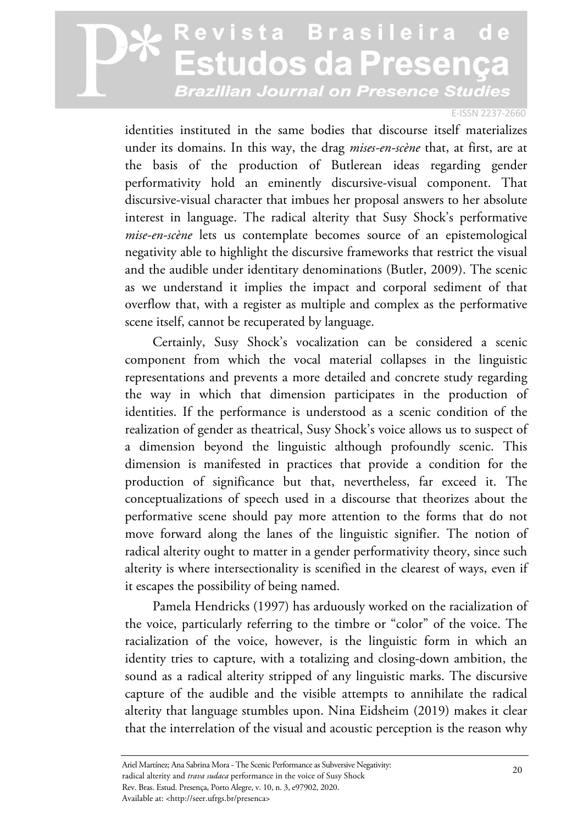#### E-ISSN 2237-2660

identities instituted in the same bodies that discourse itself materializes under its domains. In this way, the drag *mises-en-scène* that, at first, are at the basis of the production of Butlerean ideas regarding gender performativity hold an eminently discursive-visual component. That discursive-visual character that imbues her proposal answers to her absolute interest in language. The radical alterity that Susy Shock's performative *mise-en-scène* lets us contemplate becomes source of an epistemological negativity able to highlight the discursive frameworks that restrict the visual and the audible under identitary denominations (Butler, 2009). The scenic as we understand it implies the impact and corporal sediment of that overflow that, with a register as multiple and complex as the performative scene itself, cannot be recuperated by language.

Certainly, Susy Shock's vocalization can be considered a scenic component from which the vocal material collapses in the linguistic representations and prevents a more detailed and concrete study regarding the way in which that dimension participates in the production of identities. If the performance is understood as a scenic condition of the realization of gender as theatrical, Susy Shock's voice allows us to suspect of a dimension beyond the linguistic although profoundly scenic. This dimension is manifested in practices that provide a condition for the production of significance but that, nevertheless, far exceed it. The conceptualizations of speech used in a discourse that theorizes about the performative scene should pay more attention to the forms that do not move forward along the lanes of the linguistic signifier. The notion of radical alterity ought to matter in a gender performativity theory, since such alterity is where intersectionality is scenified in the clearest of ways, even if it escapes the possibility of being named.

Pamela Hendricks (1997) has arduously worked on the racialization of the voice, particularly referring to the timbre or "color" of the voice. The racialization of the voice, however, is the linguistic form in which an identity tries to capture, with a totalizing and closing-down ambition, the sound as a radical alterity stripped of any linguistic marks. The discursive capture of the audible and the visible attempts to annihilate the radical alterity that language stumbles upon. Nina Eidsheim (2019) makes it clear that the interrelation of the visual and acoustic perception is the reason why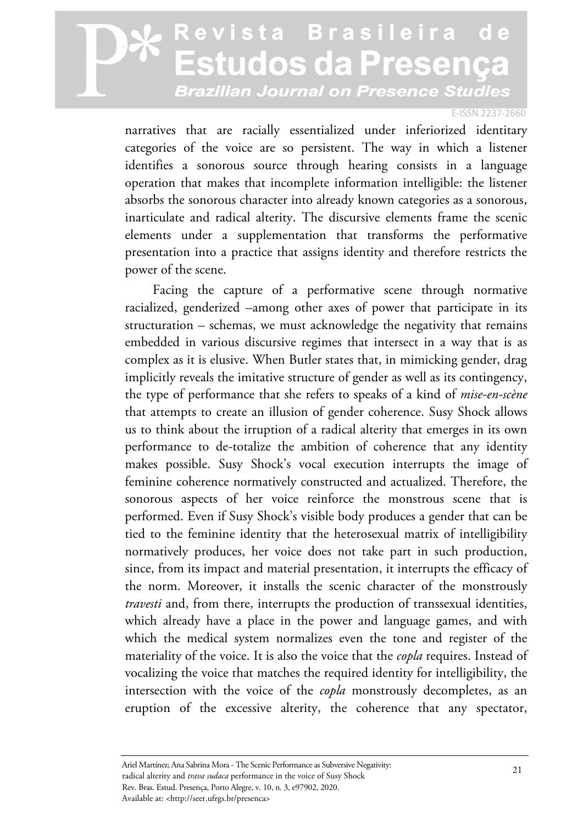#### E-ISSN 2237-2660

narratives that are racially essentialized under inferiorized identitary categories of the voice are so persistent. The way in which a listener identifies a sonorous source through hearing consists in a language operation that makes that incomplete information intelligible: the listener absorbs the sonorous character into already known categories as a sonorous, inarticulate and radical alterity. The discursive elements frame the scenic elements under a supplementation that transforms the performative presentation into a practice that assigns identity and therefore restricts the power of the scene.

Facing the capture of a performative scene through normative racialized, genderized –among other axes of power that participate in its structuration – schemas, we must acknowledge the negativity that remains embedded in various discursive regimes that intersect in a way that is as complex as it is elusive. When Butler states that, in mimicking gender, drag implicitly reveals the imitative structure of gender as well as its contingency, the type of performance that she refers to speaks of a kind of *mise-en-scène* that attempts to create an illusion of gender coherence. Susy Shock allows us to think about the irruption of a radical alterity that emerges in its own performance to de-totalize the ambition of coherence that any identity makes possible. Susy Shock's vocal execution interrupts the image of feminine coherence normatively constructed and actualized. Therefore, the sonorous aspects of her voice reinforce the monstrous scene that is performed. Even if Susy Shock's visible body produces a gender that can be tied to the feminine identity that the heterosexual matrix of intelligibility normatively produces, her voice does not take part in such production, since, from its impact and material presentation, it interrupts the efficacy of the norm. Moreover, it installs the scenic character of the monstrously *travesti* and, from there, interrupts the production of transsexual identities, which already have a place in the power and language games, and with which the medical system normalizes even the tone and register of the materiality of the voice. It is also the voice that the *copla* requires. Instead of vocalizing the voice that matches the required identity for intelligibility, the intersection with the voice of the *copla* monstrously decompletes, as an eruption of the excessive alterity, the coherence that any spectator,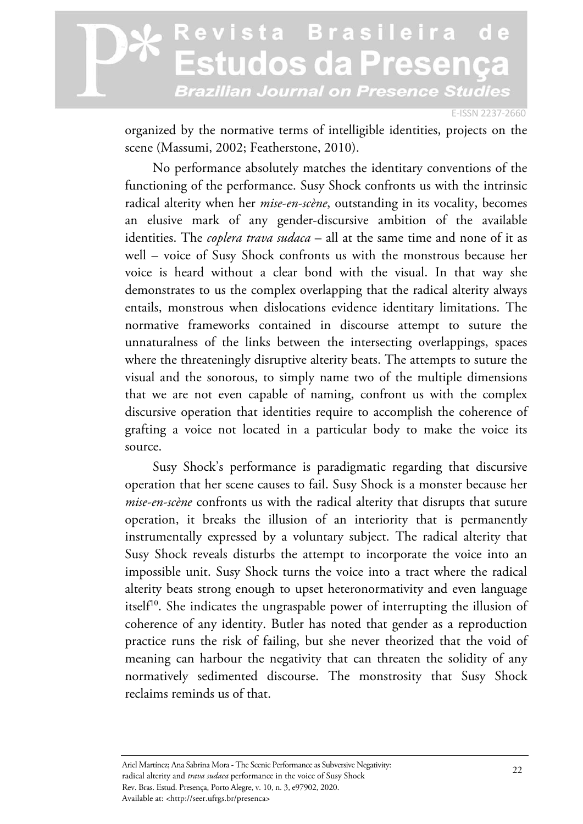E-ISSN 2237-2660

organized by the normative terms of intelligible identities, projects on the scene (Massumi, 2002; Featherstone, 2010).

No performance absolutely matches the identitary conventions of the functioning of the performance. Susy Shock confronts us with the intrinsic radical alterity when her *mise-en-scène*, outstanding in its vocality, becomes an elusive mark of any gender-discursive ambition of the available identities. The *coplera trava sudaca* – all at the same time and none of it as well – voice of Susy Shock confronts us with the monstrous because her voice is heard without a clear bond with the visual. In that way she demonstrates to us the complex overlapping that the radical alterity always entails, monstrous when dislocations evidence identitary limitations. The normative frameworks contained in discourse attempt to suture the unnaturalness of the links between the intersecting overlappings, spaces where the threateningly disruptive alterity beats. The attempts to suture the visual and the sonorous, to simply name two of the multiple dimensions that we are not even capable of naming, confront us with the complex discursive operation that identities require to accomplish the coherence of grafting a voice not located in a particular body to make the voice its source.

Susy Shock's performance is paradigmatic regarding that discursive operation that her scene causes to fail. Susy Shock is a monster because her *mise-en-scène* confronts us with the radical alterity that disrupts that suture operation, it breaks the illusion of an interiority that is permanently instrumentally expressed by a voluntary subject. The radical alterity that Susy Shock reveals disturbs the attempt to incorporate the voice into an impossible unit. Susy Shock turns the voice into a tract where the radical alterity beats strong enough to upset heteronormativity and even language itself<sup>10</sup>. She indicates the ungraspable power of interrupting the illusion of coherence of any identity. Butler has noted that gender as a reproduction practice runs the risk of failing, but she never theorized that the void of meaning can harbour the negativity that can threaten the solidity of any normatively sedimented discourse. The monstrosity that Susy Shock reclaims reminds us of that.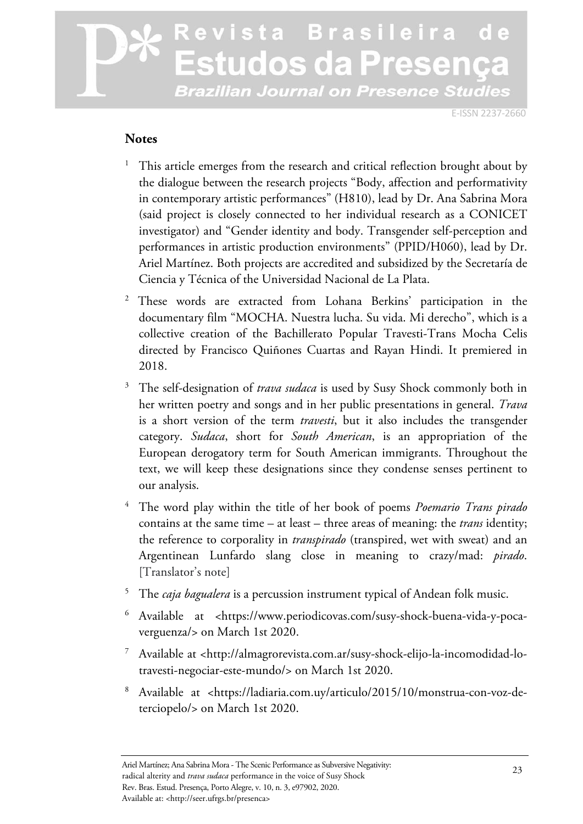E-ISSN 2237-2660

#### **Notes**

- 1 This article emerges from the research and critical reflection brought about by the dialogue between the research projects "Body, affection and performativity in contemporary artistic performances" (H810), lead by Dr. Ana Sabrina Mora (said project is closely connected to her individual research as a CONICET investigator) and "Gender identity and body. Transgender self-perception and performances in artistic production environments" (PPID/H060), lead by Dr. Ariel Martínez. Both projects are accredited and subsidized by the Secretaría de Ciencia y Técnica of the Universidad Nacional de La Plata.
- 2 These words are extracted from Lohana Berkins' participation in the documentary film "MOCHA. Nuestra lucha. Su vida. Mi derecho", which is a collective creation of the Bachillerato Popular Travesti-Trans Mocha Celis directed by Francisco Quiñones Cuartas and Rayan Hindi. It premiered in 2018.
- 3 The self-designation of *trava sudaca* is used by Susy Shock commonly both in her written poetry and songs and in her public presentations in general. *Trava* is a short version of the term *travesti*, but it also includes the transgender category. *Sudaca*, short for *South American*, is an appropriation of the European derogatory term for South American immigrants. Throughout the text, we will keep these designations since they condense senses pertinent to our analysis.
- 4 The word play within the title of her book of poems *Poemario Trans pirado* contains at the same time – at least – three areas of meaning: the *trans* identity; the reference to corporality in *transpirado* (transpired, wet with sweat) and an Argentinean Lunfardo slang close in meaning to crazy/mad: *pirado*. [Translator's note]
- 5 The *caja bagualera* is a percussion instrument typical of Andean folk music.
- $^6$  Available at <https://www.periodicovas.com/susy-shock-buena-vida-y-pocaverguenza/> on March 1st 2020.
- 7 Available at <http://almagrorevista.com.ar/susy-shock-elijo-la-incomodidad-lotravesti-negociar-este-mundo/> on March 1st 2020.
- 8 Available at <https://ladiaria.com.uy/articulo/2015/10/monstrua-con-voz-deterciopelo/> on March 1st 2020.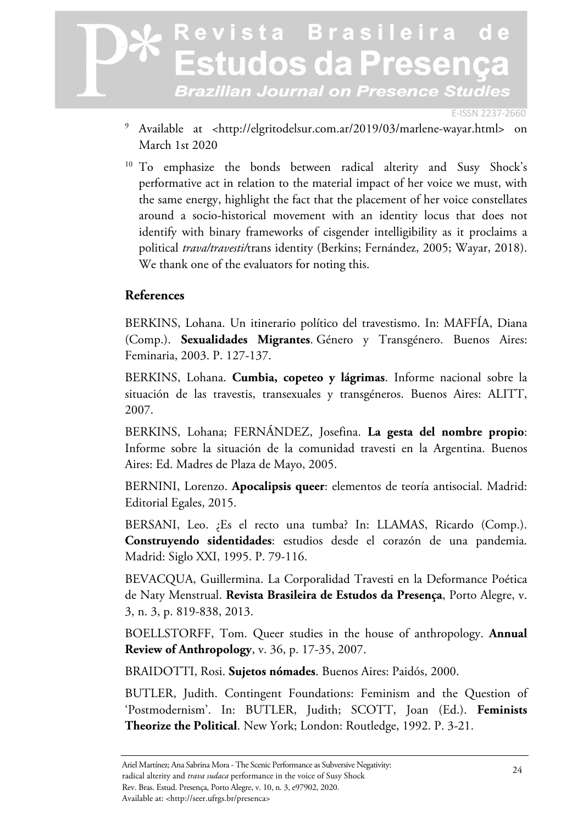E-ISSN 2237-2660

- <sup>9</sup> Available at <http://elgritodelsur.com.ar/2019/03/marlene-wayar.html> on March 1st 2020
- <sup>10</sup> To emphasize the bonds between radical alterity and Susy Shock's performative act in relation to the material impact of her voice we must, with the same energy, highlight the fact that the placement of her voice constellates around a socio-historical movement with an identity locus that does not identify with binary frameworks of cisgender intelligibility as it proclaims a political *trava/travesti/*trans identity (Berkins; Fernández, 2005; Wayar, 2018). We thank one of the evaluators for noting this.

#### **References**

BERKINS, Lohana. Un itinerario político del travestismo. In: MAFFÍA, Diana (Comp.). **Sexualidades Migrantes**. Género y Transgénero. Buenos Aires: Feminaria, 2003. P. 127-137.

BERKINS, Lohana. **Cumbia, copeteo y lágrimas**. Informe nacional sobre la situación de las travestis, transexuales y transgéneros. Buenos Aires: ALITT, 2007.

BERKINS, Lohana; FERNÁNDEZ, Josefina. **La gesta del nombre propio**: Informe sobre la situación de la comunidad travesti en la Argentina. Buenos Aires: Ed. Madres de Plaza de Mayo, 2005.

BERNINI, Lorenzo. **Apocalipsis queer**: elementos de teoría antisocial. Madrid: Editorial Egales, 2015.

BERSANI, Leo. ¿Es el recto una tumba? In: LLAMAS, Ricardo (Comp.). **Construyendo sidentidades**: estudios desde el corazón de una pandemia. Madrid: Siglo XXI, 1995. P. 79-116.

BEVACQUA, Guillermina. La Corporalidad Travesti en la Deformance Poética de Naty Menstrual. **Revista Brasileira de Estudos da Presença**, Porto Alegre, v. 3, n. 3, p. 819-838, 2013.

BOELLSTORFF, Tom. Queer studies in the house of anthropology. **Annual Review of Anthropology**, v. 36, p. 17-35, 2007.

BRAIDOTTI, Rosi. **Sujetos nómades**. Buenos Aires: Paidós, 2000.

BUTLER, Judith. Contingent Foundations: Feminism and the Question of 'Postmodernism'. In: BUTLER, Judith; SCOTT, Joan (Ed.). **Feminists Theorize the Political**. New York; London: Routledge, 1992. P. 3-21.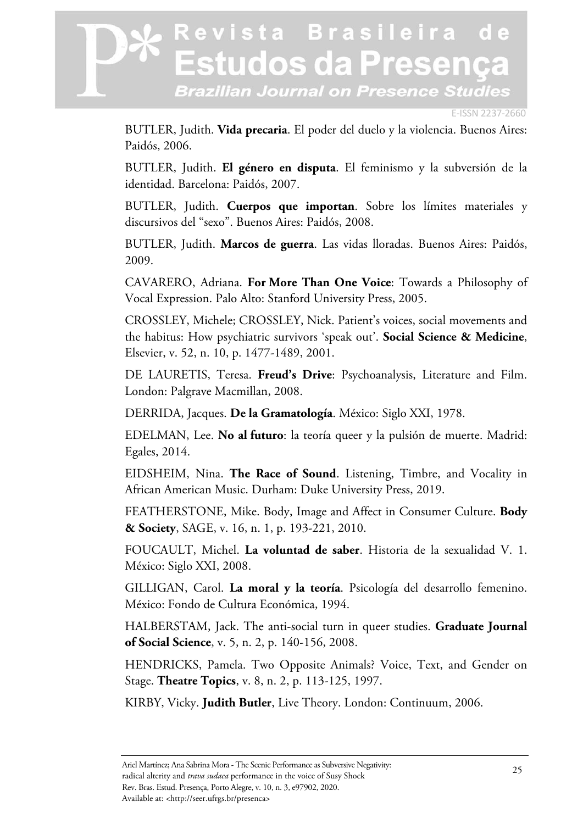#### E-ISSN 2237-2660

BUTLER, Judith. **Vida precaria**. El poder del duelo y la violencia. Buenos Aires: Paidós, 2006.

BUTLER, Judith. **El género en disputa**. El feminismo y la subversión de la identidad. Barcelona: Paidós, 2007.

BUTLER, Judith. **Cuerpos que importan**. Sobre los límites materiales y discursivos del "sexo". Buenos Aires: Paidós, 2008.

BUTLER, Judith. **Marcos de guerra**. Las vidas lloradas. Buenos Aires: Paidós, 2009.

CAVARERO, Adriana. **For More Than One Voice**: Towards a Philosophy of Vocal Expression. Palo Alto: Stanford University Press, 2005.

CROSSLEY, Michele; CROSSLEY, Nick. Patient's voices, social movements and the habitus: How psychiatric survivors 'speak out'. **Social Science & Medicine**, Elsevier, v. 52, n. 10, p. 1477-1489, 2001.

DE LAURETIS, Teresa. **Freud's Drive**: Psychoanalysis, Literature and Film. London: Palgrave Macmillan, 2008.

DERRIDA, Jacques. **De la Gramatología**. México: Siglo XXI, 1978.

EDELMAN, Lee. **No al futuro**: la teoría queer y la pulsión de muerte. Madrid: Egales, 2014.

EIDSHEIM, Nina. **The Race of Sound**. Listening, Timbre, and Vocality in African American Music. Durham: Duke University Press, 2019.

FEATHERSTONE, Mike. Body, Image and Affect in Consumer Culture. **Body & Society**, SAGE, v. 16, n. 1, p. 193-221, 2010.

FOUCAULT, Michel. **La voluntad de saber**. Historia de la sexualidad V. 1. México: Siglo XXI, 2008.

GILLIGAN, Carol. **La moral y la teoría**. Psicología del desarrollo femenino. México: Fondo de Cultura Económica, 1994.

HALBERSTAM, Jack. The anti-social turn in queer studies. **Graduate Journal of Social Science**, v. 5, n. 2, p. 140-156, 2008.

HENDRICKS, Pamela. Two Opposite Animals? Voice, Text, and Gender on Stage. **Theatre Topics**, v. 8, n. 2, p. 113-125, 1997.

KIRBY, Vicky. **Judith Butler**, Live Theory. London: Continuum, 2006.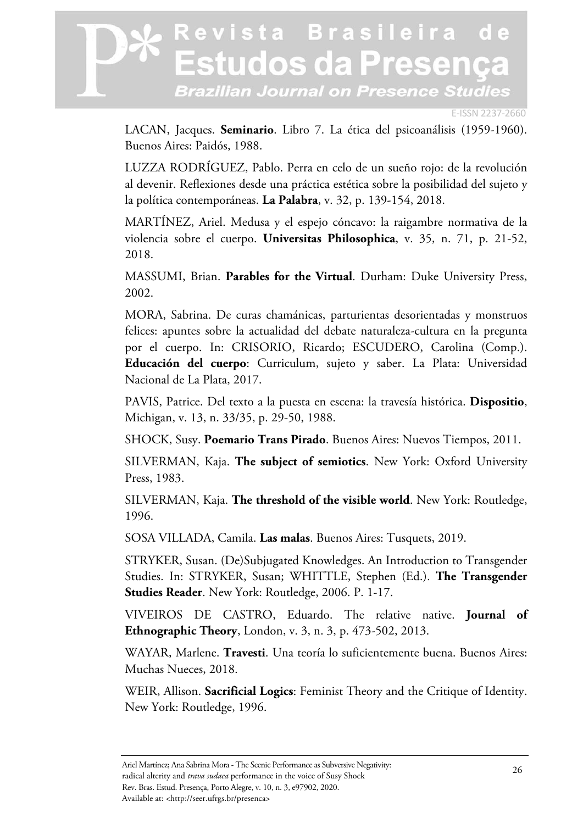E-ISSN 2237-2660

LACAN, Jacques. **Seminario**. Libro 7. La ética del psicoanálisis (1959-1960). Buenos Aires: Paidós, 1988.

LUZZA RODRÍGUEZ, Pablo. Perra en celo de un sueño rojo: de la revolución al devenir. Reflexiones desde una práctica estética sobre la posibilidad del sujeto y la política contemporáneas. **La Palabra**, v. 32, p. 139-154, 2018.

MARTÍNEZ, Ariel. Medusa y el espejo cóncavo: la raigambre normativa de la violencia sobre el cuerpo. **Universitas Philosophica**, v. 35, n. 71, p. 21-52, 2018.

MASSUMI, Brian. **Parables for the Virtual**. Durham: Duke University Press, 2002.

MORA, Sabrina. De curas chamánicas, parturientas desorientadas y monstruos felices: apuntes sobre la actualidad del debate naturaleza-cultura en la pregunta por el cuerpo. In: CRISORIO, Ricardo; ESCUDERO, Carolina (Comp.). **Educación del cuerpo**: Curriculum, sujeto y saber. La Plata: Universidad Nacional de La Plata, 2017.

PAVIS, Patrice. Del texto a la puesta en escena: la travesía histórica. **Dispositio**, Michigan, v. 13, n. 33/35, p. 29-50, 1988.

SHOCK, Susy. **Poemario Trans Pirado**. Buenos Aires: Nuevos Tiempos, 2011.

SILVERMAN, Kaja. **The subject of semiotics**. New York: Oxford University Press, 1983.

SILVERMAN, Kaja. **The threshold of the visible world**. New York: Routledge, 1996.

SOSA VILLADA, Camila. **Las malas**. Buenos Aires: Tusquets, 2019.

STRYKER, Susan. (De)Subjugated Knowledges. An Introduction to Transgender Studies. In: STRYKER, Susan; WHITTLE, Stephen (Ed.). **The Transgender Studies Reader**. New York: Routledge, 2006. P. 1-17.

VIVEIROS DE CASTRO, Eduardo. The relative native. **Journal of Ethnographic Theory**, London, v. 3, n. 3, p. 473-502, 2013.

WAYAR, Marlene. **Travesti**. Una teoría lo suficientemente buena. Buenos Aires: Muchas Nueces, 2018.

WEIR, Allison. **Sacrificial Logics**: Feminist Theory and the Critique of Identity. New York: Routledge, 1996.